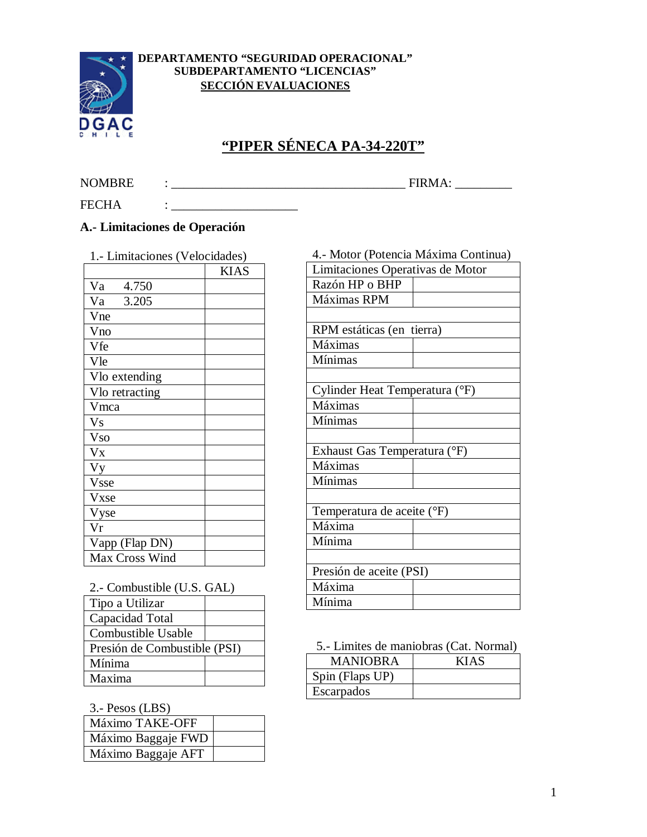

#### **DEPARTAMENTO "SEGURIDAD OPERACIONAL" SUBDEPARTAMENTO "LICENCIAS" SECCIÓN EVALUACIONES**

# **"PIPER SÉNECA PA-34-220T"**

FECHA : \_\_\_\_\_\_\_\_\_\_\_\_\_\_\_\_\_\_\_\_

## NOMBRE : \_\_\_\_\_\_\_\_\_\_\_\_\_\_\_\_\_\_\_\_\_\_\_\_\_\_\_\_\_\_\_\_\_\_\_\_\_ FIRMA: \_\_\_\_\_\_\_\_\_

## **A.- Limitaciones de Operación**

1.- Limitaciones (Velocidades)

|                | <b>KIAS</b> |
|----------------|-------------|
| Va<br>4.750    |             |
| 3.205<br>Va    |             |
| Vne            |             |
| Vno            |             |
| Vfe            |             |
| Vle            |             |
| Vlo extending  |             |
| Vlo retracting |             |
| Vmca           |             |
| V <sub>S</sub> |             |
| <b>Vso</b>     |             |
| $V_{X}$        |             |
| Vy             |             |
| Vsse           |             |
| Vxse           |             |
| Vyse           |             |
| Vr             |             |
| Vapp (Flap DN) |             |
| Max Cross Wind |             |

| Máximas RPM                    |  |  |
|--------------------------------|--|--|
|                                |  |  |
| RPM estáticas (en tierra)      |  |  |
| Máximas                        |  |  |
| <b>Mínimas</b>                 |  |  |
|                                |  |  |
| Cylinder Heat Temperatura (°F) |  |  |
| Máximas                        |  |  |
| <b>Mínimas</b>                 |  |  |
|                                |  |  |
| Exhaust Gas Temperatura (°F)   |  |  |
| Máximas                        |  |  |
| <b>Mínimas</b>                 |  |  |
|                                |  |  |
| Temperatura de aceite (°F)     |  |  |
| Máxima                         |  |  |
| Mínima                         |  |  |
|                                |  |  |
| Presión de aceite (PSI)        |  |  |
| Máxima                         |  |  |
| Mínima                         |  |  |

4.- Motor (Potencia Máxima Continua) Limitaciones Operativas de Motor

Razón HP o BHP

| 2.- Combustible (U.S. GAL)   |  |
|------------------------------|--|
| Tipo a Utilizar              |  |
| Capacidad Total              |  |
| Combustible Usable           |  |
| Presión de Combustible (PSI) |  |
| Mínima                       |  |
| Maxima                       |  |

3.- Pesos (LBS)

| - - - - - -        |  |
|--------------------|--|
| Máximo TAKE-OFF    |  |
| Máximo Baggaje FWD |  |
| Máximo Baggaje AFT |  |

5.- Limites de maniobras (Cat. Normal)

| <b>MANIOBRA</b> | KIAS |
|-----------------|------|
| Spin (Flaps UP) |      |
| Escarpados      |      |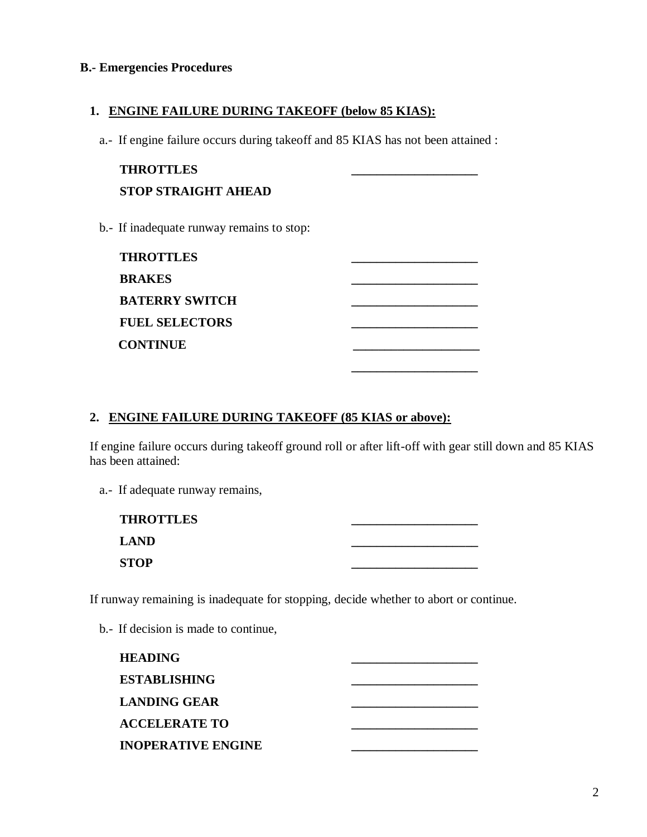#### **B.- Emergencies Procedures**

#### **1. ENGINE FAILURE DURING TAKEOFF (below 85 KIAS):**

a.- If engine failure occurs during takeoff and 85 KIAS has not been attained :

| <b>THROTTLES</b>                          |  |
|-------------------------------------------|--|
| <b>STOP STRAIGHT AHEAD</b>                |  |
| b.- If inadequate runway remains to stop: |  |

| <b>THROTTLES</b>      |  |
|-----------------------|--|
| <b>BRAKES</b>         |  |
| <b>BATERRY SWITCH</b> |  |
| <b>FUEL SELECTORS</b> |  |
| <b>CONTINUE</b>       |  |
|                       |  |

#### **2. ENGINE FAILURE DURING TAKEOFF (85 KIAS or above):**

If engine failure occurs during takeoff ground roll or after lift-off with gear still down and 85 KIAS has been attained:

| a.- If adequate runway remains, |
|---------------------------------|
|                                 |
|                                 |

| <b>THROTTLES</b> |  |
|------------------|--|
| <b>LAND</b>      |  |
| <b>STOP</b>      |  |

If runway remaining is inadequate for stopping, decide whether to abort or continue.

b.- If decision is made to continue,

| <b>HEADING</b>            |  |
|---------------------------|--|
| <b>ESTABLISHING</b>       |  |
| <b>LANDING GEAR</b>       |  |
| <b>ACCELERATE TO</b>      |  |
| <b>INOPERATIVE ENGINE</b> |  |
|                           |  |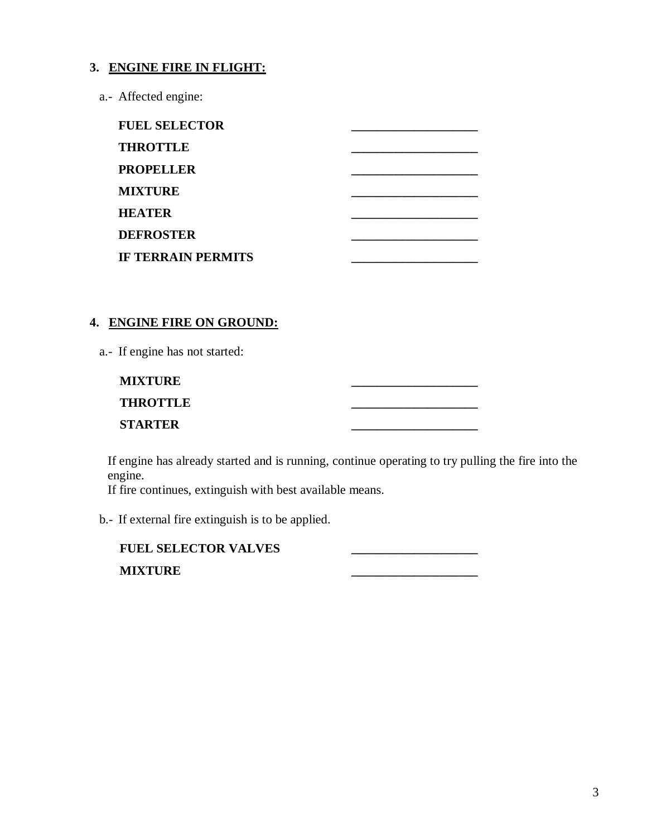#### **3. ENGINE FIRE IN FLIGHT:**

a.- Affected engine:

## **4. ENGINE FIRE ON GROUND:**

a.- If engine has not started:

| <b>MIXTURE</b>  |  |
|-----------------|--|
| <b>THROTTLE</b> |  |
| <b>STARTER</b>  |  |

If engine has already started and is running, continue operating to try pulling the fire into the engine.

If fire continues, extinguish with best available means.

b.- If external fire extinguish is to be applied.

| <b>FUEL SELECTOR VALVES</b> |  |
|-----------------------------|--|
| <b>MIXTURE</b>              |  |